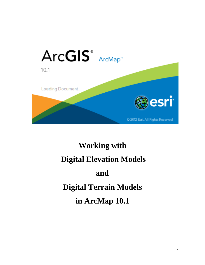

# **Working with Digital Elevation Models and Digital Terrain Models in ArcMap 10.1**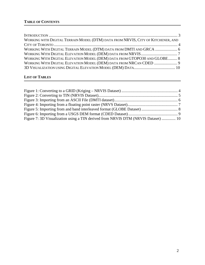| WORKING WITH DIGITAL TERRAIN MODEL (DTM) DATA FROM NRVIS, CITY OF KITCHENER, AND |  |
|----------------------------------------------------------------------------------|--|
|                                                                                  |  |
| WORKING WITH DIGITAL TERRAIN MODEL (DTM) DATA FROM DMTI AND GRCA  6              |  |
|                                                                                  |  |
| WORKING WITH DIGITAL ELEVATION MODEL (DEM) DATA FROM GTOPO30 AND GLOBE 8         |  |
| WORKING WITH DIGITAL ELEVATION MODEL (DEM) DATA FROM NRCAN CDED  9               |  |
|                                                                                  |  |

# **LIST OF TABLES**

| Figure 7: 3D Visualization using a TIN derived from NRVIS DTM (NRVIS Dataset)  10 |  |
|-----------------------------------------------------------------------------------|--|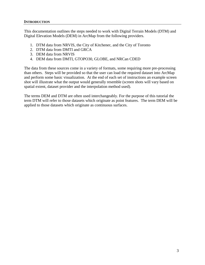#### **INTRODUCTION**

This documentation outlines the steps needed to work with Digital Terrain Models (DTM) and Digital Elevation Models (DEM) in ArcMap from the following providers.

- 1. DTM data from NRVIS, the City of Kitchener, and the City of Toronto
- 2. DTM data from DMTI and GRCA
- 3. DEM data from NRVIS
- 4. DEM data from DMTI, GTOPO30, GLOBE, and NRCan CDED

The data from these sources come in a variety of formats, some requiring more pre-processing than others. Steps will be provided so that the user can load the required dataset into ArcMap and perform some basic visualization. At the end of each set of instructions an example screen shot will illustrate what the output would generally resemble (screen shots will vary based on spatial extent, dataset provider and the interpolation method used).

The terms DEM and DTM are often used interchangeably. For the purpose of this tutorial the term DTM will refer to those datasets which originate as point features. The term DEM will be applied to those datasets which originate as continuous surfaces.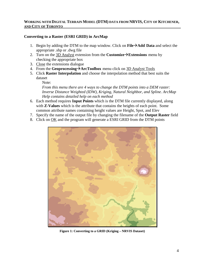# **Converting to a Raster (ESRI GRID) in ArcMap**

- 1. Begin by adding the DTM to the map window. Click on **FileAdd Data** and select the appropriate .shp or .dwg file
- 2. Turn on the 3D Analyst extension from the **Customize** > **Extensions** menu by checking the appropriate box
- 3. Close the extensions dialogue
- 4. From the **Geoprocessing**  $\rightarrow$  ArcToolbox menu click on 3D Analyst Tools
- 5. Click **Raster Interpolation** and choose the interpolation method that best suits the dataset

Note: *From this menu there are 4 ways to change the DTM points into a DEM raster: Inverse Distance Weighted (IDW), Kriging, Natural Neighbor, and Spline. ArcMap Help contains detailed help on each method*

- 6. Each method requires **Input Points** which is the DTM file currently displayed, along with **Z-Values** which is the attribute that contains the heights of each point. Some common attribute names containing height values are Height, Spot, and Elev
- 7. Specify the name of the output file by changing the filename of the **Output Raster** field
- 8. Click on OK and the program will generate a ESRI GRID from the DTM points



**Figure 1: Converting to a GRID (Kriging – NRVIS Dataset)**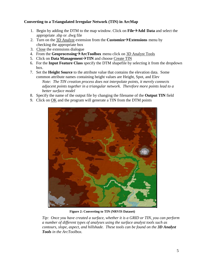## **Converting to a Triangulated Irregular Network (TIN) in ArcMap**

- 1. Begin by adding the DTM to the map window. Click on **FileAdd Data** and select the appropriate .shp or .dwg file
- 2. Turn on the  $3D$  Analyst extension from the **Customize**  $\rightarrow$  **Extensions** menu by checking the appropriate box
- 3. Close the extensions dialogue
- 4. From the **GeoprocessingArcToolbox** menu click on 3D Analyst Tools
- 5. Click on **Data Management**  $\rightarrow$  TIN and choose Create TIN
- 6. For the **Input Feature Class** specify the DTM shapefile by selecting it from the dropdown box.
- 7. Set the **Height Source** to the attribute value that contains the elevation data. Some common attribute names containing height values are Height, Spot, and Elev *Note: The TIN creation process does not interpolate points, it merely connects adjacent points together in a triangular network. Therefore more points lead to a better surface model*
- 8. Specify the name of the output file by changing the filename of the **Output TIN** field
- 9. Click on OK and the program will generate a TIN from the DTM points



**Figure 2: Converting to TIN (NRVIS Dataset)**

*Tip: Once you have created a surface, whether it is a GRID or TIN, you can perform a number of different types of analyses using the surface analyst tools such as contours, slope, aspect, and hillshade. These tools can be found on the 3D Analyst Tools in the ArcToolbox.*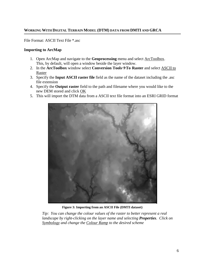# **WORKINGWITH DIGITAL TERRAIN MODEL (DTM) DATA FROM DMTI AND GRCA**

File Format: ASCII Text File \*.asc

#### **Importing to ArcMap**

- 1. Open ArcMap and navigate to the **Geoprocessing** menu and select ArcToolbox. This, by default, will open a window beside the layer window.
- 2. In the **ArcToolbox** window select **Conversion ToolsTo Raster** and select ASCII to Raster
- 3. Specify the **Input ASCII raster file** field as the name of the dataset including the .asc file extension
- 4. Specify the **Output raster** field to the path and filename where you would like to the new DEM stored and click OK
- 5. This will import the DTM data from a ASCII text file format into an ESRI GRID format



**Figure 3: Importing from an ASCII File (DMTI dataset)**

*Tip: You can change the colour values of the raster to better represent a real landscape by right-clicking on the layer name and selecting Properties. Click on Symbology and change the Colour Ramp to the desired scheme*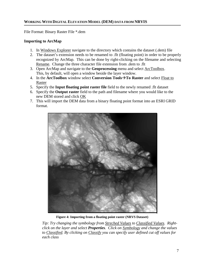#### **WORKINGWITH DIGITAL ELEVATION MODEL (DEM) DATA FROM NRVIS**

File Format: Binary Raster File \*.dem

#### **Importing to ArcMap**

- 1. In Windows Explorer navigate to the directory which contains the dataset (.dem) file
- 2. The dataset's extension needs to be renamed to .flt (floating point) in order to be properly recognized by ArcMap. This can be done by right-clicking on the filename and selecting Rename. Change the three character file extension from .dem to .flt
- 3. Open ArcMap and navigate to the **Geoprocessing** menu and select ArcToolbox. This, by default, will open a window beside the layer window.
- 4. In the **ArcToolbox** window select **Conversion ToolsTo Raster** and select Float to Raster
- 5. Specify the **Input floating point raster file** field to the newly renamed .flt dataset
- 6. Specify the **Output raster** field to the path and filename where you would like to the new DEM stored and click OK
- 7. This will import the DEM data from a binary floating point format into an ESRI GRID format.



**Figure 4: Importing from a floating point raster (NRVS Dataset)**

*Tip: Try changing the symbology from Streched Values to Classified Values. Rightclick on the layer and select Properties. Click on Symbology and change the values to Classified. By clicking on Classify you can specify user defined cut off values for each class*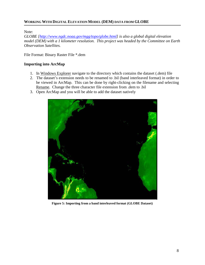#### **WORKINGWITH DIGITAL ELEVATION MODEL (DEM) DATA FROM GLOBE**

Note:

*GLOBE [\[http://www.ngdc.noaa.gov/mgg/topo/globe.html\]](http://www.ngdc.noaa.gov/mgg/topo/globe.html) is also a global digital elevation model (DEM) with a 1 kilometer resolution. This project was headed by the Committee on Earth Observation Satellites.*

File Format: Binary Raster File \*.dem

#### **Importing into ArcMap**

- 1. In Windows Explorer navigate to the directory which contains the dataset (.dem) file
- 2. The dataset's extension needs to be renamed to .bil (band interleaved format) in order to be viewed in ArcMap. This can be done by right-clicking on the filename and selecting Rename. Change the three character file extension from .dem to .bil
- 3. Open ArcMap and you will be able to add the dataset natively



**Figure 5: Importing from a band interleaved format (GLOBE Dataset)**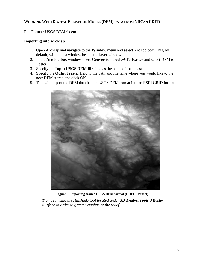File Format: USGS DEM \*.dem

#### **Importing into ArcMap**

- 1. Open ArcMap and navigate to the **Window** menu and select ArcToolbox. This, by default, will open a window beside the layer window
- 2. In the **ArcToolbox** window select **Conversion ToolsTo Raster** and select DEM to Raster
- 3. Specify the **Input USGS DEM file** field as the name of the dataset
- 4. Specify the **Output raster** field to the path and filename where you would like to the new DEM stored and click OK
- 5. This will import the DEM data from a USGS DEM format into an ESRI GRID format



**Figure 6: Importing from a USGS DEM format (CDED Dataset)**

*Tip: Try using the Hillshade tool located under 3D Analyst Tools→Raster Surface in order to greater emphasize the relief*